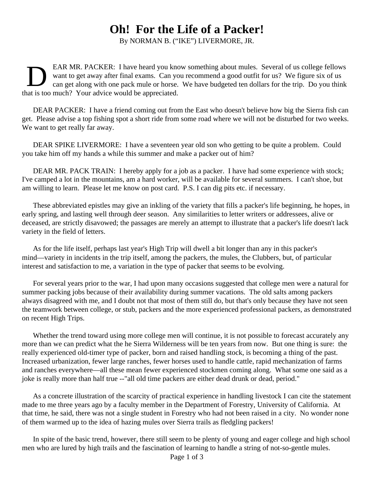## **Oh! For the Life of a Packer!**

By NORMAN B. ("IKE") LIVERMORE, JR.

D EAR MR. PACKER: I have heard you know something about mules. Several of us college fellows want to get away after final exams. Can you recommend a good outfit for us? We figure six of us can get along with one pack mule or horse. We have budgeted ten dollars for the trip. Do you think that is too much? Your advice would be appreciated.

DEAR PACKER: I have a friend coming out from the East who doesn't believe how big the Sierra fish can get. Please advise a top fishing spot a short ride from some road where we will not be disturbed for two weeks. We want to get really far away.

DEAR SPIKE LIVERMORE: I have a seventeen year old son who getting to be quite a problem. Could you take him off my hands a while this summer and make a packer out of him?

DEAR MR. PACK TRAIN: I hereby apply for a job as a packer. I have had some experience with stock; I've camped a lot in the mountains, am a hard worker, will be available for several summers. I can't shoe, but am willing to learn. Please let me know on post card. P.S. I can dig pits etc. if necessary.

These abbreviated epistles may give an inkling of the variety that fills a packer's life beginning, he hopes, in early spring, and lasting well through deer season. Any similarities to letter writers or addressees, alive or deceased, are strictly disavowed; the passages are merely an attempt to illustrate that a packer's life doesn't lack variety in the field of letters.

As for the life itself, perhaps last year's High Trip will dwell a bit longer than any in this packer's mind—variety in incidents in the trip itself, among the packers, the mules, the Clubbers, but, of particular interest and satisfaction to me, a variation in the type of packer that seems to be evolving.

For several years prior to the war, I had upon many occasions suggested that college men were a natural for summer packing jobs because of their availability during summer vacations. The old salts among packers always disagreed with me, and I doubt not that most of them still do, but that's only because they have not seen the teamwork between college, or stub, packers and the more experienced professional packers, as demonstrated on recent High Trips.

Whether the trend toward using more college men will continue, it is not possible to forecast accurately any more than we can predict what the he Sierra Wilderness will be ten years from now. But one thing is sure: the really experienced old-timer type of packer, born and raised handling stock, is becoming a thing of the past. Increased urbanization, fewer large ranches, fewer horses used to handle cattle, rapid mechanization of farms and ranches everywhere—all these mean fewer experienced stockmen coming along. What some one said as a joke is really more than half true --"all old time packers are either dead drunk or dead, period."

As a concrete illustration of the scarcity of practical experience in handling livestock I can cite the statement made to me three years ago by a faculty member in the Department of Forestry, University of California. At that time, he said, there was not a single student in Forestry who had not been raised in a city. No wonder none of them warmed up to the idea of hazing mules over Sierra trails as fledgling packers!

In spite of the basic trend, however, there still seem to be plenty of young and eager college and high school men who are lured by high trails and the fascination of learning to handle a string of not-so-gentle mules.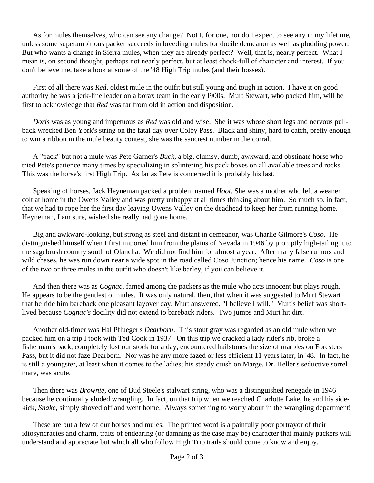As for mules themselves, who can see any change? Not I, for one, nor do I expect to see any in my lifetime, unless some superambitious packer succeeds in breeding mules for docile demeanor as well as plodding power. But who wants a change in Sierra mules, when they are already perfect? Well, that is, nearly perfect. What I mean is, on second thought, perhaps not nearly perfect, but at least chock-full of character and interest. If you don't believe me, take a look at some of the '48 High Trip mules (and their bosses).

First of all there was *Red*, oldest mule in the outfit but still young and tough in action. I have it on good authority he was a jerk-line leader on a borax team in the early l900s. Murt Stewart, who packed him, will be first to acknowledge that *Red* was far from old in action and disposition.

*Doris* was as young and impetuous as *Red* was old and wise. She it was whose short legs and nervous pullback wrecked Ben York's string on the fatal day over Colby Pass. Black and shiny, hard to catch, pretty enough to win a ribbon in the mule beauty contest, she was the sauciest number in the corral.

A "pack" but not a mule was Pete Garner's *Buck*, a big, clumsy, dumb, awkward, and obstinate horse who tried Pete's patience many times by specializing in splintering his pack boxes on all available trees and rocks. This was the horse's first High Trip. As far as Pete is concerned it is probably his last.

Speaking of horses, Jack Heyneman packed a problem named *Hoot*. She was a mother who left a weaner colt at home in the Owens Valley and was pretty unhappy at all times thinking about him. So much so, in fact, that we had to rope her the first day leaving Owens Valley on the deadhead to keep her from running home. Heyneman, I am sure, wished she really had gone home.

Big and awkward-looking, but strong as steel and distant in demeanor, was Charlie Gilmore's *Coso*. He distinguished himself when I first imported him from the plains of Nevada in 1946 by promptly high-tailing it to the sagebrush country south of Olancha. We did not find him for almost a year. After many false rumors and wild chases, he was run down near a wide spot in the road called Coso Junction; hence his name. *Coso* is one of the two or three mules in the outfit who doesn't like barley, if you can believe it.

And then there was as *Cognac*, famed among the packers as the mule who acts innocent but plays rough. He appears to be the gentlest of mules. It was only natural, then, that when it was suggested to Murt Stewart that he ride him bareback one pleasant layover day, Murt answered, "I believe I will." Murt's belief was shortlived because *Cognac's* docility did not extend to bareback riders. Two jumps and Murt hit dirt.

Another old-timer was Hal Pflueger's *Dearborn*. This stout gray was regarded as an old mule when we packed him on a trip I took with Ted Cook in 1937. On this trip we cracked a lady rider's rib, broke a fisherman's back, completely lost our stock for a day, encountered hailstones the size of marbles on Foresters Pass, but it did not faze Dearborn. Nor was he any more fazed or less efficient 11 years later, in '48. In fact, he is still a youngster, at least when it comes to the ladies; his steady crush on Marge, Dr. Heller's seductive sorrel mare, was acute.

Then there was *Brownie*, one of Bud Steele's stalwart string, who was a distinguished renegade in 1946 because he continually eluded wrangling. In fact, on that trip when we reached Charlotte Lake, he and his sidekick, *Snake*, simply shoved off and went home. Always something to worry about in the wrangling department!

These are but a few of our horses and mules. The printed word is a painfully poor portrayor of their idiosyncracies and charm, traits of endearing (or damning as the case may be) character that mainly packers will understand and appreciate but which all who follow High Trip trails should come to know and enjoy.